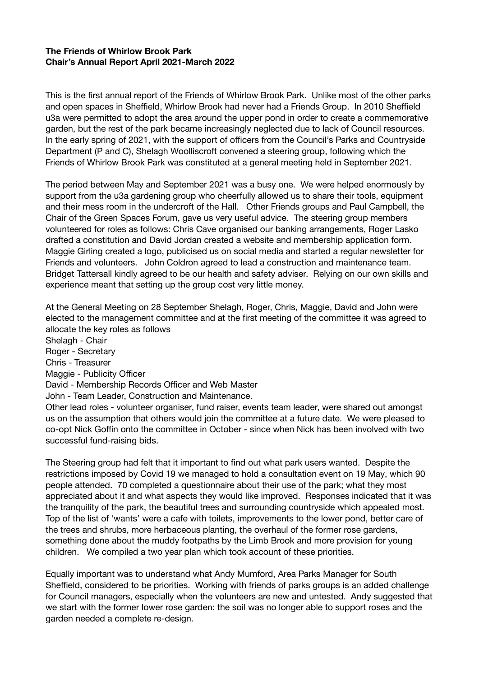## **The Friends of Whirlow Brook Park Chair's Annual Report April 2021-March 2022**

This is the first annual report of the Friends of Whirlow Brook Park. Unlike most of the other parks and open spaces in Sheffield, Whirlow Brook had never had a Friends Group. In 2010 Sheffield u3a were permitted to adopt the area around the upper pond in order to create a commemorative garden, but the rest of the park became increasingly neglected due to lack of Council resources. In the early spring of 2021, with the support of officers from the Council's Parks and Countryside Department (P and C), Shelagh Woolliscroft convened a steering group, following which the Friends of Whirlow Brook Park was constituted at a general meeting held in September 2021.

The period between May and September 2021 was a busy one. We were helped enormously by support from the u3a gardening group who cheerfully allowed us to share their tools, equipment and their mess room in the undercroft of the Hall. Other Friends groups and Paul Campbell, the Chair of the Green Spaces Forum, gave us very useful advice. The steering group members volunteered for roles as follows: Chris Cave organised our banking arrangements, Roger Lasko drafted a constitution and David Jordan created a website and membership application form. Maggie Girling created a logo, publicised us on social media and started a regular newsletter for Friends and volunteers. John Coldron agreed to lead a construction and maintenance team. Bridget Tattersall kindly agreed to be our health and safety adviser. Relying on our own skills and experience meant that setting up the group cost very little money.

At the General Meeting on 28 September Shelagh, Roger, Chris, Maggie, David and John were elected to the management committee and at the first meeting of the committee it was agreed to allocate the key roles as follows Shelagh - Chair Roger - Secretary Chris - Treasurer Maggie - Publicity Officer David - Membership Records Officer and Web Master John - Team Leader, Construction and Maintenance. Other lead roles - volunteer organiser, fund raiser, events team leader, were shared out amongst us on the assumption that others would join the committee at a future date. We were pleased to co-opt Nick Goffin onto the committee in October - since when Nick has been involved with two successful fund-raising bids.

The Steering group had felt that it important to find out what park users wanted. Despite the restrictions imposed by Covid 19 we managed to hold a consultation event on 19 May, which 90 people attended. 70 completed a questionnaire about their use of the park; what they most appreciated about it and what aspects they would like improved. Responses indicated that it was the tranquility of the park, the beautiful trees and surrounding countryside which appealed most. Top of the list of 'wants' were a cafe with toilets, improvements to the lower pond, better care of the trees and shrubs, more herbaceous planting, the overhaul of the former rose gardens, something done about the muddy footpaths by the Limb Brook and more provision for young children. We compiled a two year plan which took account of these priorities.

Equally important was to understand what Andy Mumford, Area Parks Manager for South Sheffield, considered to be priorities. Working with friends of parks groups is an added challenge for Council managers, especially when the volunteers are new and untested. Andy suggested that we start with the former lower rose garden: the soil was no longer able to support roses and the garden needed a complete re-design.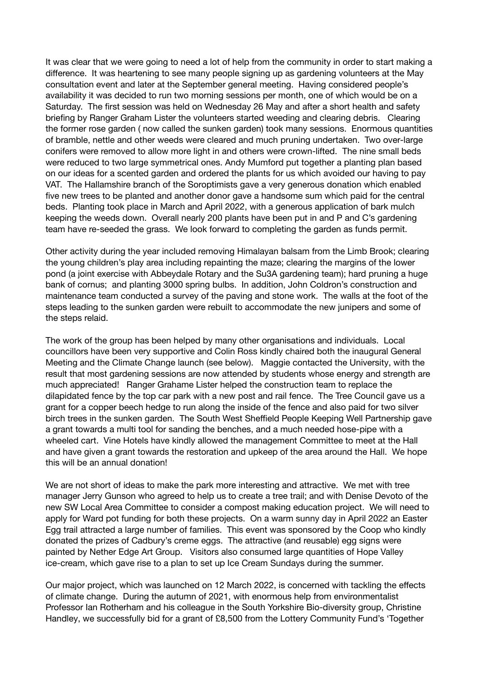It was clear that we were going to need a lot of help from the community in order to start making a difference. It was heartening to see many people signing up as gardening volunteers at the May consultation event and later at the September general meeting. Having considered people's availability it was decided to run two morning sessions per month, one of which would be on a Saturday. The first session was held on Wednesday 26 May and after a short health and safety briefing by Ranger Graham Lister the volunteers started weeding and clearing debris. Clearing the former rose garden ( now called the sunken garden) took many sessions. Enormous quantities of bramble, nettle and other weeds were cleared and much pruning undertaken. Two over-large conifers were removed to allow more light in and others were crown-lifted. The nine small beds were reduced to two large symmetrical ones. Andy Mumford put together a planting plan based on our ideas for a scented garden and ordered the plants for us which avoided our having to pay VAT. The Hallamshire branch of the Soroptimists gave a very generous donation which enabled five new trees to be planted and another donor gave a handsome sum which paid for the central beds. Planting took place in March and April 2022, with a generous application of bark mulch keeping the weeds down. Overall nearly 200 plants have been put in and P and C's gardening team have re-seeded the grass. We look forward to completing the garden as funds permit.

Other activity during the year included removing Himalayan balsam from the Limb Brook; clearing the young children's play area including repainting the maze; clearing the margins of the lower pond (a joint exercise with Abbeydale Rotary and the Su3A gardening team); hard pruning a huge bank of cornus; and planting 3000 spring bulbs. In addition, John Coldron's construction and maintenance team conducted a survey of the paving and stone work. The walls at the foot of the steps leading to the sunken garden were rebuilt to accommodate the new junipers and some of the steps relaid.

The work of the group has been helped by many other organisations and individuals. Local councillors have been very supportive and Colin Ross kindly chaired both the inaugural General Meeting and the Climate Change launch (see below). Maggie contacted the University, with the result that most gardening sessions are now attended by students whose energy and strength are much appreciated! Ranger Grahame Lister helped the construction team to replace the dilapidated fence by the top car park with a new post and rail fence. The Tree Council gave us a grant for a copper beech hedge to run along the inside of the fence and also paid for two silver birch trees in the sunken garden. The South West Sheffield People Keeping Well Partnership gave a grant towards a multi tool for sanding the benches, and a much needed hose-pipe with a wheeled cart. Vine Hotels have kindly allowed the management Committee to meet at the Hall and have given a grant towards the restoration and upkeep of the area around the Hall. We hope this will be an annual donation!

We are not short of ideas to make the park more interesting and attractive. We met with tree manager Jerry Gunson who agreed to help us to create a tree trail; and with Denise Devoto of the new SW Local Area Committee to consider a compost making education project. We will need to apply for Ward pot funding for both these projects. On a warm sunny day in April 2022 an Easter Egg trail attracted a large number of families. This event was sponsored by the Coop who kindly donated the prizes of Cadbury's creme eggs. The attractive (and reusable) egg signs were painted by Nether Edge Art Group. Visitors also consumed large quantities of Hope Valley ice-cream, which gave rise to a plan to set up Ice Cream Sundays during the summer.

Our major project, which was launched on 12 March 2022, is concerned with tackling the effects of climate change. During the autumn of 2021, with enormous help from environmentalist Professor Ian Rotherham and his colleague in the South Yorkshire Bio-diversity group, Christine Handley, we successfully bid for a grant of £8,500 from the Lottery Community Fund's 'Together